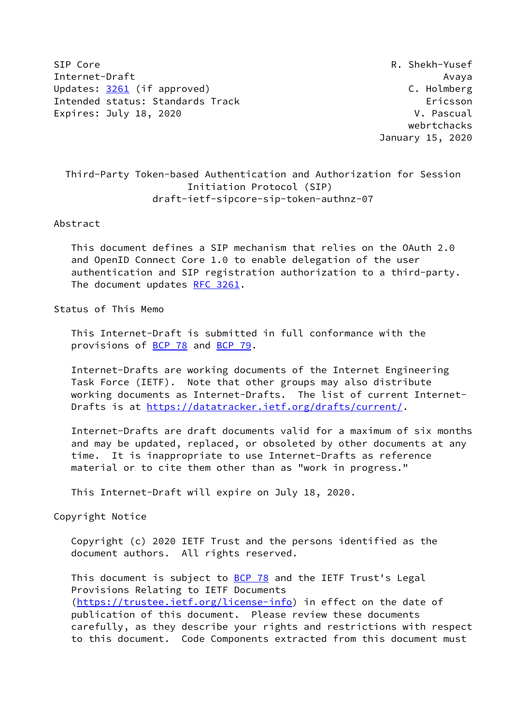SIP Core R. Shekh-Yusef Internet-Draft Avaya Updates: [3261](https://datatracker.ietf.org/doc/pdf/rfc3261) (if approved) C. Holmberg Intended status: Standards Track Ericsson Expires: July 18, 2020 **V. Pascual** 

 webrtchacks January 15, 2020

# Third-Party Token-based Authentication and Authorization for Session Initiation Protocol (SIP) draft-ietf-sipcore-sip-token-authnz-07

#### Abstract

 This document defines a SIP mechanism that relies on the OAuth 2.0 and OpenID Connect Core 1.0 to enable delegation of the user authentication and SIP registration authorization to a third-party. The document updates [RFC 3261](https://datatracker.ietf.org/doc/pdf/rfc3261).

### Status of This Memo

 This Internet-Draft is submitted in full conformance with the provisions of **BCP 78** and **BCP 79**.

 Internet-Drafts are working documents of the Internet Engineering Task Force (IETF). Note that other groups may also distribute working documents as Internet-Drafts. The list of current Internet Drafts is at<https://datatracker.ietf.org/drafts/current/>.

 Internet-Drafts are draft documents valid for a maximum of six months and may be updated, replaced, or obsoleted by other documents at any time. It is inappropriate to use Internet-Drafts as reference material or to cite them other than as "work in progress."

This Internet-Draft will expire on July 18, 2020.

Copyright Notice

 Copyright (c) 2020 IETF Trust and the persons identified as the document authors. All rights reserved.

This document is subject to **[BCP 78](https://datatracker.ietf.org/doc/pdf/bcp78)** and the IETF Trust's Legal Provisions Relating to IETF Documents [\(https://trustee.ietf.org/license-info](https://trustee.ietf.org/license-info)) in effect on the date of publication of this document. Please review these documents carefully, as they describe your rights and restrictions with respect to this document. Code Components extracted from this document must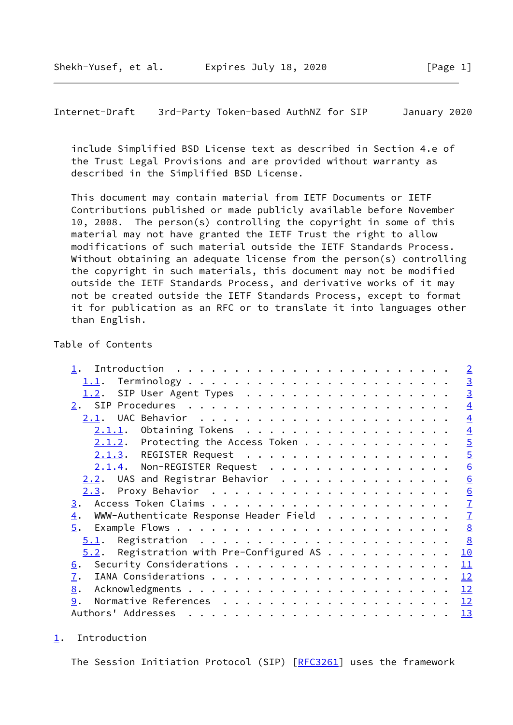<span id="page-1-1"></span>Internet-Draft 3rd-Party Token-based AuthNZ for SIP January 2020

 include Simplified BSD License text as described in Section 4.e of the Trust Legal Provisions and are provided without warranty as described in the Simplified BSD License.

 This document may contain material from IETF Documents or IETF Contributions published or made publicly available before November 10, 2008. The person(s) controlling the copyright in some of this material may not have granted the IETF Trust the right to allow modifications of such material outside the IETF Standards Process. Without obtaining an adequate license from the person(s) controlling the copyright in such materials, this document may not be modified outside the IETF Standards Process, and derivative works of it may not be created outside the IETF Standards Process, except to format it for publication as an RFC or to translate it into languages other than English.

## Table of Contents

|                                                                                      | $\sqrt{2}$     |
|--------------------------------------------------------------------------------------|----------------|
|                                                                                      | $\overline{3}$ |
| SIP User Agent Types<br>1.2.                                                         | $\overline{3}$ |
|                                                                                      | $\overline{4}$ |
|                                                                                      | $\overline{4}$ |
| $2.1.1.$ Obtaining Tokens                                                            | $\overline{4}$ |
| $2.1.2$ . Protecting the Access Token                                                | $\overline{5}$ |
| 2.1.3. REGISTER Request                                                              | $\overline{5}$ |
| 2.1.4. Non-REGISTER Request                                                          | 6              |
| 2.2. UAS and Registrar Behavior                                                      | 6              |
|                                                                                      | 6              |
| 3.                                                                                   | $\overline{1}$ |
| WWW-Authenticate Response Header Field $\dots \dots \dots \dots$<br>$\overline{4}$ . | $\overline{1}$ |
| 5.                                                                                   | 8              |
| 5.1.                                                                                 | 8              |
| Registration with Pre-Configured AS<br>5.2.                                          | 10             |
| 6.                                                                                   | 11             |
| 7.                                                                                   | 12             |
| 8.                                                                                   | 12             |
| 9.                                                                                   | <u> 12</u>     |
|                                                                                      | <u> 13</u>     |
|                                                                                      |                |

<span id="page-1-0"></span>[1](#page-1-0). Introduction

The Session Initiation Protocol (SIP) [[RFC3261](https://datatracker.ietf.org/doc/pdf/rfc3261)] uses the framework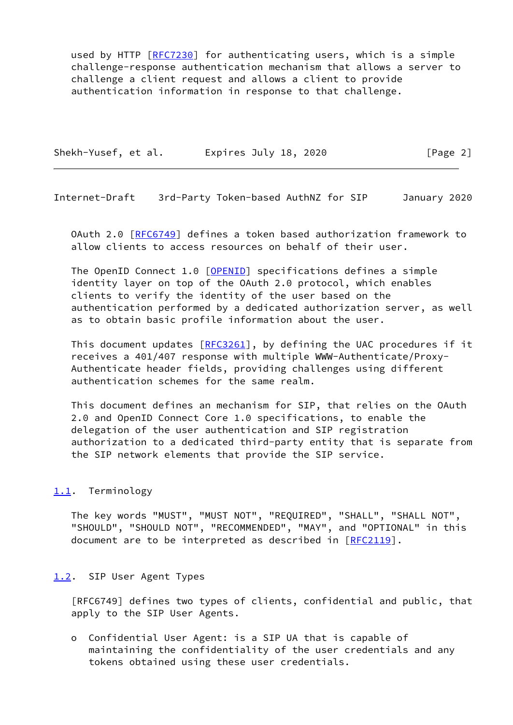used by HTTP [\[RFC7230](https://datatracker.ietf.org/doc/pdf/rfc7230)] for authenticating users, which is a simple challenge-response authentication mechanism that allows a server to challenge a client request and allows a client to provide authentication information in response to that challenge.

Shekh-Yusef, et al. Expires July 18, 2020 [Page 2]

<span id="page-2-1"></span>Internet-Draft 3rd-Party Token-based AuthNZ for SIP January 2020

 OAuth 2.0 [[RFC6749](https://datatracker.ietf.org/doc/pdf/rfc6749)] defines a token based authorization framework to allow clients to access resources on behalf of their user.

The OpenID Connect 1.0 [\[OPENID](#page-12-4)] specifications defines a simple identity layer on top of the OAuth 2.0 protocol, which enables clients to verify the identity of the user based on the authentication performed by a dedicated authorization server, as well as to obtain basic profile information about the user.

This document updates  $[REC3261]$ , by defining the UAC procedures if it receives a 401/407 response with multiple WWW-Authenticate/Proxy- Authenticate header fields, providing challenges using different authentication schemes for the same realm.

 This document defines an mechanism for SIP, that relies on the OAuth 2.0 and OpenID Connect Core 1.0 specifications, to enable the delegation of the user authentication and SIP registration authorization to a dedicated third-party entity that is separate from the SIP network elements that provide the SIP service.

## <span id="page-2-0"></span>[1.1](#page-2-0). Terminology

 The key words "MUST", "MUST NOT", "REQUIRED", "SHALL", "SHALL NOT", "SHOULD", "SHOULD NOT", "RECOMMENDED", "MAY", and "OPTIONAL" in this document are to be interpreted as described in [\[RFC2119](https://datatracker.ietf.org/doc/pdf/rfc2119)].

## <span id="page-2-2"></span>[1.2](#page-2-2). SIP User Agent Types

 [RFC6749] defines two types of clients, confidential and public, that apply to the SIP User Agents.

 o Confidential User Agent: is a SIP UA that is capable of maintaining the confidentiality of the user credentials and any tokens obtained using these user credentials.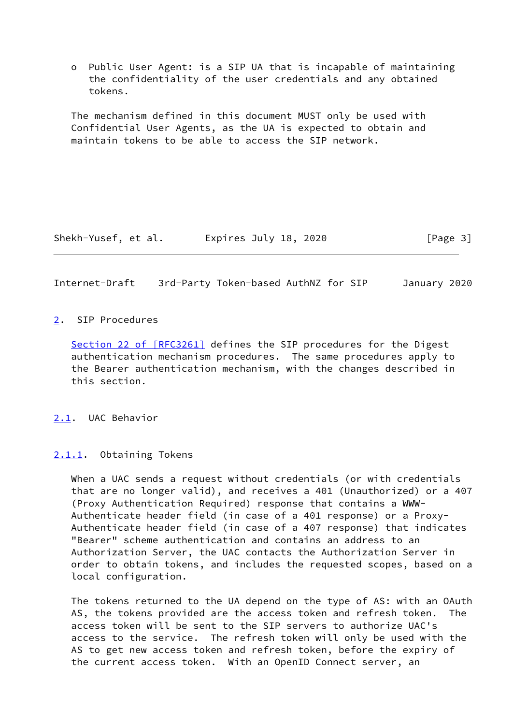o Public User Agent: is a SIP UA that is incapable of maintaining the confidentiality of the user credentials and any obtained tokens.

 The mechanism defined in this document MUST only be used with Confidential User Agents, as the UA is expected to obtain and maintain tokens to be able to access the SIP network.

Shekh-Yusef, et al. Expires July 18, 2020 [Page 3]

<span id="page-3-1"></span>Internet-Draft 3rd-Party Token-based AuthNZ for SIP January 2020

#### <span id="page-3-0"></span>[2](#page-3-0). SIP Procedures

Section [22 of \[RFC3261\]](https://datatracker.ietf.org/doc/pdf/rfc3261#section-22) defines the SIP procedures for the Digest authentication mechanism procedures. The same procedures apply to the Bearer authentication mechanism, with the changes described in this section.

<span id="page-3-2"></span>[2.1](#page-3-2). UAC Behavior

<span id="page-3-3"></span>[2.1.1](#page-3-3). Obtaining Tokens

 When a UAC sends a request without credentials (or with credentials that are no longer valid), and receives a 401 (Unauthorized) or a 407 (Proxy Authentication Required) response that contains a WWW- Authenticate header field (in case of a 401 response) or a Proxy- Authenticate header field (in case of a 407 response) that indicates "Bearer" scheme authentication and contains an address to an Authorization Server, the UAC contacts the Authorization Server in order to obtain tokens, and includes the requested scopes, based on a local configuration.

 The tokens returned to the UA depend on the type of AS: with an OAuth AS, the tokens provided are the access token and refresh token. The access token will be sent to the SIP servers to authorize UAC's access to the service. The refresh token will only be used with the AS to get new access token and refresh token, before the expiry of the current access token. With an OpenID Connect server, an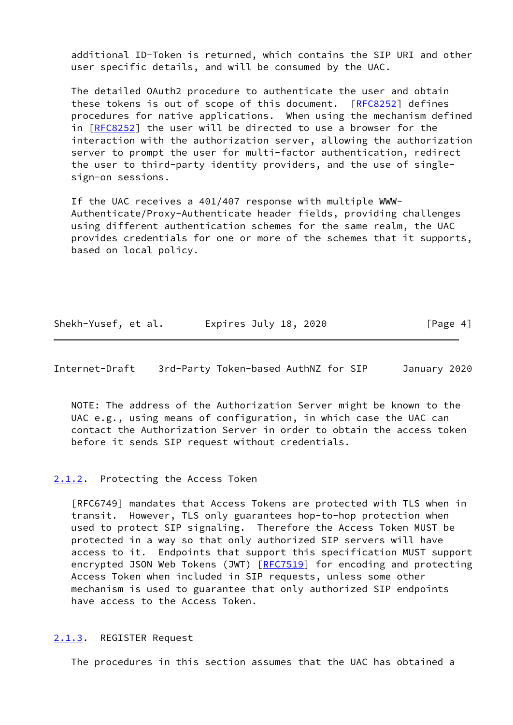additional ID-Token is returned, which contains the SIP URI and other user specific details, and will be consumed by the UAC.

 The detailed OAuth2 procedure to authenticate the user and obtain these tokens is out of scope of this document. [\[RFC8252](https://datatracker.ietf.org/doc/pdf/rfc8252)] defines procedures for native applications. When using the mechanism defined in [[RFC8252\]](https://datatracker.ietf.org/doc/pdf/rfc8252) the user will be directed to use a browser for the interaction with the authorization server, allowing the authorization server to prompt the user for multi-factor authentication, redirect the user to third-party identity providers, and the use of single sign-on sessions.

 If the UAC receives a 401/407 response with multiple WWW- Authenticate/Proxy-Authenticate header fields, providing challenges using different authentication schemes for the same realm, the UAC provides credentials for one or more of the schemes that it supports, based on local policy.

| Shekh-Yusef, et al. | Expires July 18, 2020 | [Page 4] |
|---------------------|-----------------------|----------|
|---------------------|-----------------------|----------|

<span id="page-4-1"></span>Internet-Draft 3rd-Party Token-based AuthNZ for SIP January 2020

 NOTE: The address of the Authorization Server might be known to the UAC e.g., using means of configuration, in which case the UAC can contact the Authorization Server in order to obtain the access token before it sends SIP request without credentials.

## <span id="page-4-0"></span>[2.1.2](#page-4-0). Protecting the Access Token

 [RFC6749] mandates that Access Tokens are protected with TLS when in transit. However, TLS only guarantees hop-to-hop protection when used to protect SIP signaling. Therefore the Access Token MUST be protected in a way so that only authorized SIP servers will have access to it. Endpoints that support this specification MUST support encrypted JSON Web Tokens (JWT) [\[RFC7519](https://datatracker.ietf.org/doc/pdf/rfc7519)] for encoding and protecting Access Token when included in SIP requests, unless some other mechanism is used to guarantee that only authorized SIP endpoints have access to the Access Token.

#### <span id="page-4-2"></span>[2.1.3](#page-4-2). REGISTER Request

The procedures in this section assumes that the UAC has obtained a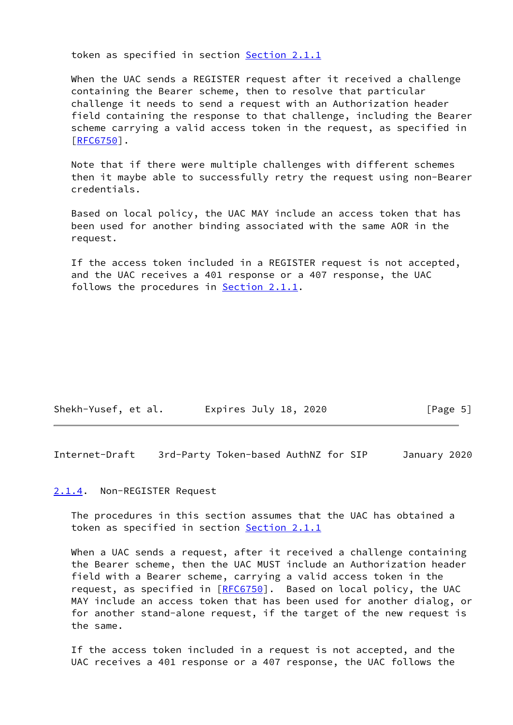token as specified in section [Section 2.1.1](#page-3-3)

 When the UAC sends a REGISTER request after it received a challenge containing the Bearer scheme, then to resolve that particular challenge it needs to send a request with an Authorization header field containing the response to that challenge, including the Bearer scheme carrying a valid access token in the request, as specified in [\[RFC6750](https://datatracker.ietf.org/doc/pdf/rfc6750)].

 Note that if there were multiple challenges with different schemes then it maybe able to successfully retry the request using non-Bearer credentials.

 Based on local policy, the UAC MAY include an access token that has been used for another binding associated with the same AOR in the request.

 If the access token included in a REGISTER request is not accepted, and the UAC receives a 401 response or a 407 response, the UAC follows the procedures in [Section 2.1.1.](#page-3-3)

| Shekh-Yusef, et al. | Expires July 18, 2020 | [Page 5] |
|---------------------|-----------------------|----------|
|---------------------|-----------------------|----------|

<span id="page-5-1"></span>Internet-Draft 3rd-Party Token-based AuthNZ for SIP January 2020

#### <span id="page-5-0"></span>[2.1.4](#page-5-0). Non-REGISTER Request

 The procedures in this section assumes that the UAC has obtained a token as specified in section [Section 2.1.1](#page-3-3)

When a UAC sends a request, after it received a challenge containing the Bearer scheme, then the UAC MUST include an Authorization header field with a Bearer scheme, carrying a valid access token in the request, as specified in [\[RFC6750](https://datatracker.ietf.org/doc/pdf/rfc6750)]. Based on local policy, the UAC MAY include an access token that has been used for another dialog, or for another stand-alone request, if the target of the new request is the same.

 If the access token included in a request is not accepted, and the UAC receives a 401 response or a 407 response, the UAC follows the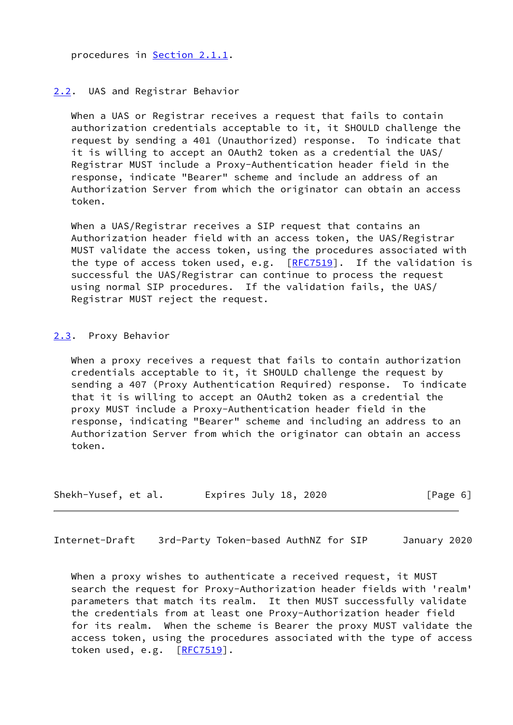procedures in [Section 2.1.1.](#page-3-3)

## <span id="page-6-0"></span>[2.2](#page-6-0). UAS and Registrar Behavior

When a UAS or Registrar receives a request that fails to contain authorization credentials acceptable to it, it SHOULD challenge the request by sending a 401 (Unauthorized) response. To indicate that it is willing to accept an OAuth2 token as a credential the UAS/ Registrar MUST include a Proxy-Authentication header field in the response, indicate "Bearer" scheme and include an address of an Authorization Server from which the originator can obtain an access token.

 When a UAS/Registrar receives a SIP request that contains an Authorization header field with an access token, the UAS/Registrar MUST validate the access token, using the procedures associated with the type of access token used, e.g.  $[RFC7519]$  $[RFC7519]$ . If the validation is successful the UAS/Registrar can continue to process the request using normal SIP procedures. If the validation fails, the UAS/ Registrar MUST reject the request.

#### <span id="page-6-1"></span>[2.3](#page-6-1). Proxy Behavior

 When a proxy receives a request that fails to contain authorization credentials acceptable to it, it SHOULD challenge the request by sending a 407 (Proxy Authentication Required) response. To indicate that it is willing to accept an OAuth2 token as a credential the proxy MUST include a Proxy-Authentication header field in the response, indicating "Bearer" scheme and including an address to an Authorization Server from which the originator can obtain an access token.

| Shekh-Yusef, et al. | Expires July 18, 2020 | [Page 6] |
|---------------------|-----------------------|----------|
|---------------------|-----------------------|----------|

<span id="page-6-2"></span>Internet-Draft 3rd-Party Token-based AuthNZ for SIP January 2020

When a proxy wishes to authenticate a received request, it MUST search the request for Proxy-Authorization header fields with 'realm' parameters that match its realm. It then MUST successfully validate the credentials from at least one Proxy-Authorization header field for its realm. When the scheme is Bearer the proxy MUST validate the access token, using the procedures associated with the type of access token used, e.g.  $[REC7519]$ .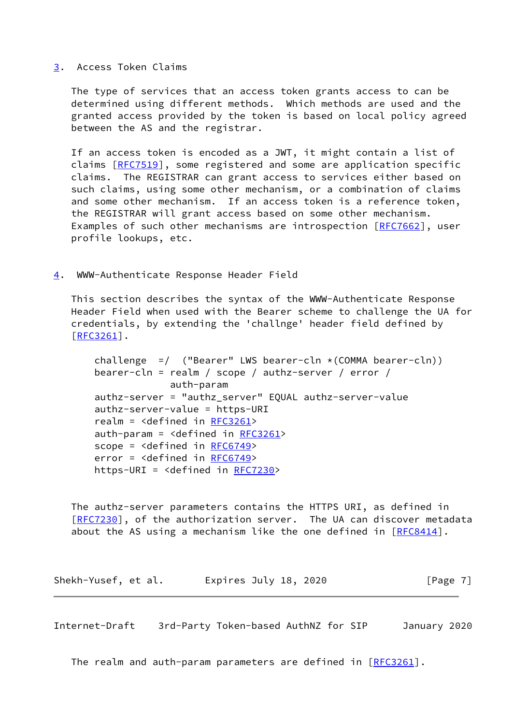#### <span id="page-7-0"></span>[3](#page-7-0). Access Token Claims

 The type of services that an access token grants access to can be determined using different methods. Which methods are used and the granted access provided by the token is based on local policy agreed between the AS and the registrar.

 If an access token is encoded as a JWT, it might contain a list of claims [\[RFC7519](https://datatracker.ietf.org/doc/pdf/rfc7519)], some registered and some are application specific claims. The REGISTRAR can grant access to services either based on such claims, using some other mechanism, or a combination of claims and some other mechanism. If an access token is a reference token, the REGISTRAR will grant access based on some other mechanism. Examples of such other mechanisms are introspection [\[RFC7662](https://datatracker.ietf.org/doc/pdf/rfc7662)], user profile lookups, etc.

<span id="page-7-1"></span>[4](#page-7-1). WWW-Authenticate Response Header Field

 This section describes the syntax of the WWW-Authenticate Response Header Field when used with the Bearer scheme to challenge the UA for credentials, by extending the 'challnge' header field defined by [\[RFC3261](https://datatracker.ietf.org/doc/pdf/rfc3261)].

challenge  $=$  ("Bearer" LWS bearer-cln  $\star$  (COMMA bearer-cln)) bearer-cln = realm / scope / authz-server / error / auth-param authz-server = "authz\_server" EQUAL authz-server-value authz-server-value = https-URI realm = <defined in [RFC3261](https://datatracker.ietf.org/doc/pdf/rfc3261)> auth-param = <defined in [RFC3261](https://datatracker.ietf.org/doc/pdf/rfc3261)> scope = <defined in [RFC6749](https://datatracker.ietf.org/doc/pdf/rfc6749)> error = <defined in [RFC6749](https://datatracker.ietf.org/doc/pdf/rfc6749)> https-URI = <defined in [RFC7230>](https://datatracker.ietf.org/doc/pdf/rfc7230)

 The authz-server parameters contains the HTTPS URI, as defined in [\[RFC7230](https://datatracker.ietf.org/doc/pdf/rfc7230)], of the authorization server. The UA can discover metadata about the AS using a mechanism like the one defined in  $[RECS414]$ .

Shekh-Yusef, et al. Expires July 18, 2020 [Page 7]

<span id="page-7-2"></span>Internet-Draft 3rd-Party Token-based AuthNZ for SIP January 2020

The realm and auth-param parameters are defined in  $[REC3261]$ .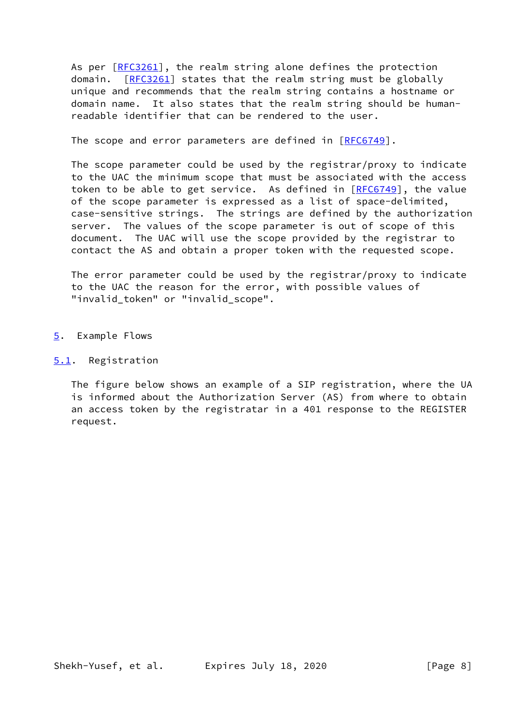As per [\[RFC3261](https://datatracker.ietf.org/doc/pdf/rfc3261)], the realm string alone defines the protection domain. [\[RFC3261](https://datatracker.ietf.org/doc/pdf/rfc3261)] states that the realm string must be globally unique and recommends that the realm string contains a hostname or domain name. It also states that the realm string should be human readable identifier that can be rendered to the user.

The scope and error parameters are defined in [[RFC6749](https://datatracker.ietf.org/doc/pdf/rfc6749)].

 The scope parameter could be used by the registrar/proxy to indicate to the UAC the minimum scope that must be associated with the access token to be able to get service. As defined in  $[RECG749]$ , the value of the scope parameter is expressed as a list of space-delimited, case-sensitive strings. The strings are defined by the authorization server. The values of the scope parameter is out of scope of this document. The UAC will use the scope provided by the registrar to contact the AS and obtain a proper token with the requested scope.

 The error parameter could be used by the registrar/proxy to indicate to the UAC the reason for the error, with possible values of "invalid\_token" or "invalid\_scope".

- <span id="page-8-0"></span>[5](#page-8-0). Example Flows
- <span id="page-8-1"></span>[5.1](#page-8-1). Registration

 The figure below shows an example of a SIP registration, where the UA is informed about the Authorization Server (AS) from where to obtain an access token by the registratar in a 401 response to the REGISTER request.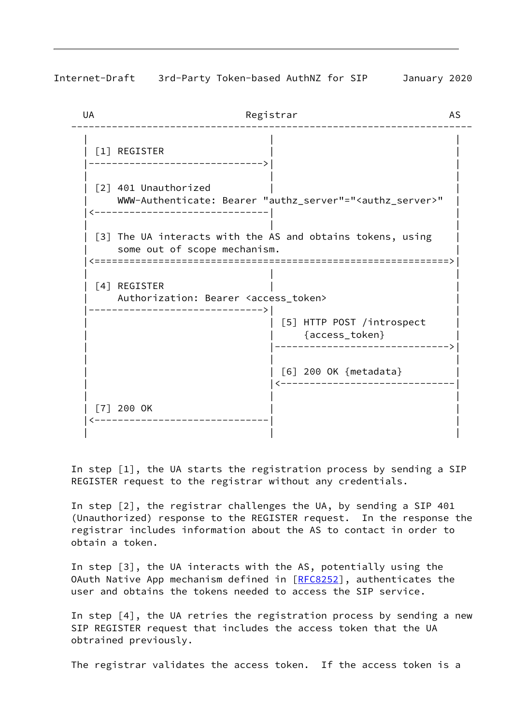Internet-Draft 3rd-Party Token-based AuthNZ for SIP January 2020

UA Registrar AS --------------------------------------------------------------------- | | |  $\lceil 1 \rceil$  REGISTER |------------------------------>| | | | | [2] 401 Unauthorized | WWW-Authenticate: Bearer "authz\_server"="<authz\_server>" | |<------------------------------| | | | | | [3] The UA interacts with the AS and obtains tokens, using | some out of scope mechanism. |<=============================================================>| | | |  $\lceil 4 \rceil$  REGISTER Authorization: Bearer <access\_token> |------------------------------>| | | | [5] HTTP POST /introspect | | | {access\_token} | | |------------------------------>| | | | | | [6] 200 OK {metadata} | | |<------------------------------| | | |  $[7] 200$  OK |<------------------------------| | | | |

 In step [1], the UA starts the registration process by sending a SIP REGISTER request to the registrar without any credentials.

 In step [2], the registrar challenges the UA, by sending a SIP 401 (Unauthorized) response to the REGISTER request. In the response the registrar includes information about the AS to contact in order to obtain a token.

 In step [3], the UA interacts with the AS, potentially using the OAuth Native App mechanism defined in [[RFC8252](https://datatracker.ietf.org/doc/pdf/rfc8252)], authenticates the user and obtains the tokens needed to access the SIP service.

 In step [4], the UA retries the registration process by sending a new SIP REGISTER request that includes the access token that the UA obtrained previously.

The registrar validates the access token. If the access token is a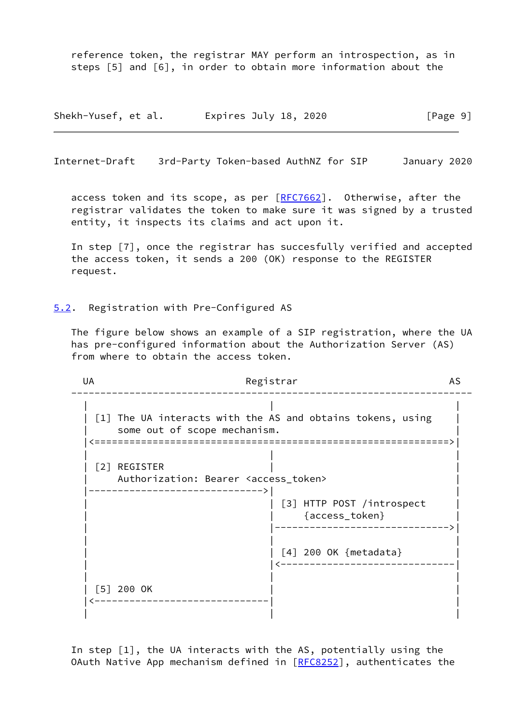reference token, the registrar MAY perform an introspection, as in steps [5] and [6], in order to obtain more information about the

Shekh-Yusef, et al. Expires July 18, 2020 [Page 9]

<span id="page-10-1"></span>Internet-Draft 3rd-Party Token-based AuthNZ for SIP January 2020

access token and its scope, as per [[RFC7662\]](https://datatracker.ietf.org/doc/pdf/rfc7662). Otherwise, after the registrar validates the token to make sure it was signed by a trusted entity, it inspects its claims and act upon it.

 In step [7], once the registrar has succesfully verified and accepted the access token, it sends a 200 (OK) response to the REGISTER request.

<span id="page-10-0"></span>[5.2](#page-10-0). Registration with Pre-Configured AS

 The figure below shows an example of a SIP registration, where the UA has pre-configured information about the Authorization Server (AS) from where to obtain the access token.

UA Registrar AS --------------------------------------------------------------------- | | | | [1] The UA interacts with the AS and obtains tokens, using | | some out of scope mechanism. | |<=============================================================>| | | | | [2] REGISTER | | Authorization: Bearer <access\_token> |------------------------------>| | | | [3] HTTP POST /introspect | | | {access\_token} | | |------------------------------>| | | | | | [4] 200 OK {metadata} | | |<------------------------------| | | |  $| 5$  200 OK |<------------------------------| | | | |

 In step [1], the UA interacts with the AS, potentially using the OAuth Native App mechanism defined in [[RFC8252](https://datatracker.ietf.org/doc/pdf/rfc8252)], authenticates the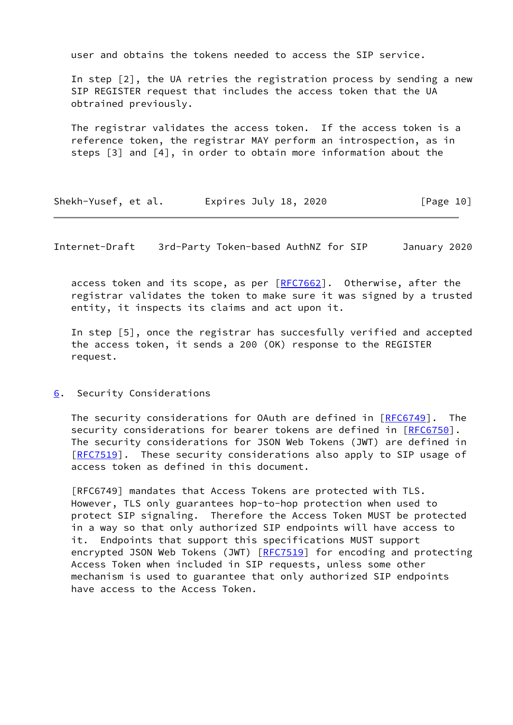user and obtains the tokens needed to access the SIP service.

 In step [2], the UA retries the registration process by sending a new SIP REGISTER request that includes the access token that the UA obtrained previously.

 The registrar validates the access token. If the access token is a reference token, the registrar MAY perform an introspection, as in steps [3] and [4], in order to obtain more information about the

| Shekh-Yusef, et al. | Expires July 18, 2020 | [Page 10] |
|---------------------|-----------------------|-----------|
|---------------------|-----------------------|-----------|

<span id="page-11-1"></span>Internet-Draft 3rd-Party Token-based AuthNZ for SIP January 2020

access token and its scope, as per [[RFC7662\]](https://datatracker.ietf.org/doc/pdf/rfc7662). Otherwise, after the registrar validates the token to make sure it was signed by a trusted entity, it inspects its claims and act upon it.

 In step [5], once the registrar has succesfully verified and accepted the access token, it sends a 200 (OK) response to the REGISTER request.

<span id="page-11-0"></span>[6](#page-11-0). Security Considerations

 The security considerations for OAuth are defined in [\[RFC6749](https://datatracker.ietf.org/doc/pdf/rfc6749)]. The security considerations for bearer tokens are defined in [\[RFC6750](https://datatracker.ietf.org/doc/pdf/rfc6750)]. The security considerations for JSON Web Tokens (JWT) are defined in [\[RFC7519](https://datatracker.ietf.org/doc/pdf/rfc7519)]. These security considerations also apply to SIP usage of access token as defined in this document.

 [RFC6749] mandates that Access Tokens are protected with TLS. However, TLS only guarantees hop-to-hop protection when used to protect SIP signaling. Therefore the Access Token MUST be protected in a way so that only authorized SIP endpoints will have access to it. Endpoints that support this specifications MUST support encrypted JSON Web Tokens (JWT) [\[RFC7519](https://datatracker.ietf.org/doc/pdf/rfc7519)] for encoding and protecting Access Token when included in SIP requests, unless some other mechanism is used to guarantee that only authorized SIP endpoints have access to the Access Token.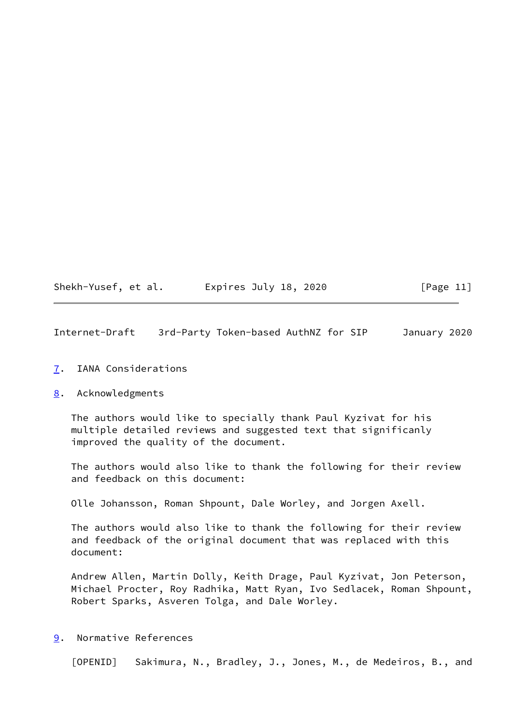| Shekh-Yusef, et al. | Expires July 18, 2020 | [Page 11] |
|---------------------|-----------------------|-----------|
|---------------------|-----------------------|-----------|

<span id="page-12-1"></span>Internet-Draft 3rd-Party Token-based AuthNZ for SIP January 2020

## <span id="page-12-0"></span>[7](#page-12-0). IANA Considerations

## <span id="page-12-2"></span>[8](#page-12-2). Acknowledgments

 The authors would like to specially thank Paul Kyzivat for his multiple detailed reviews and suggested text that significanly improved the quality of the document.

 The authors would also like to thank the following for their review and feedback on this document:

Olle Johansson, Roman Shpount, Dale Worley, and Jorgen Axell.

 The authors would also like to thank the following for their review and feedback of the original document that was replaced with this document:

 Andrew Allen, Martin Dolly, Keith Drage, Paul Kyzivat, Jon Peterson, Michael Procter, Roy Radhika, Matt Ryan, Ivo Sedlacek, Roman Shpount, Robert Sparks, Asveren Tolga, and Dale Worley.

<span id="page-12-3"></span>[9](#page-12-3). Normative References

<span id="page-12-4"></span>[OPENID] Sakimura, N., Bradley, J., Jones, M., de Medeiros, B., and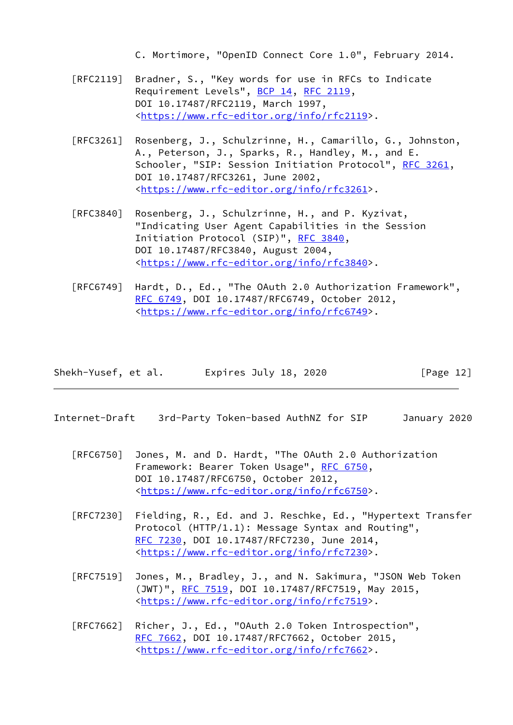C. Mortimore, "OpenID Connect Core 1.0", February 2014.

- [RFC2119] Bradner, S., "Key words for use in RFCs to Indicate Requirement Levels", [BCP 14](https://datatracker.ietf.org/doc/pdf/bcp14), [RFC 2119](https://datatracker.ietf.org/doc/pdf/rfc2119), DOI 10.17487/RFC2119, March 1997, <[https://www.rfc-editor.org/info/rfc2119>](https://www.rfc-editor.org/info/rfc2119).
- [RFC3261] Rosenberg, J., Schulzrinne, H., Camarillo, G., Johnston, A., Peterson, J., Sparks, R., Handley, M., and E. Schooler, "SIP: Session Initiation Protocol", [RFC 3261](https://datatracker.ietf.org/doc/pdf/rfc3261), DOI 10.17487/RFC3261, June 2002, <[https://www.rfc-editor.org/info/rfc3261>](https://www.rfc-editor.org/info/rfc3261).
- [RFC3840] Rosenberg, J., Schulzrinne, H., and P. Kyzivat, "Indicating User Agent Capabilities in the Session Initiation Protocol (SIP)", [RFC 3840,](https://datatracker.ietf.org/doc/pdf/rfc3840) DOI 10.17487/RFC3840, August 2004, <[https://www.rfc-editor.org/info/rfc3840>](https://www.rfc-editor.org/info/rfc3840).
- [RFC6749] Hardt, D., Ed., "The OAuth 2.0 Authorization Framework", [RFC 6749,](https://datatracker.ietf.org/doc/pdf/rfc6749) DOI 10.17487/RFC6749, October 2012, <[https://www.rfc-editor.org/info/rfc6749>](https://www.rfc-editor.org/info/rfc6749).

| Shekh-Yusef, et al. | Expires July 18, 2020 | [Page 12] |
|---------------------|-----------------------|-----------|
|---------------------|-----------------------|-----------|

- <span id="page-13-0"></span>Internet-Draft 3rd-Party Token-based AuthNZ for SIP January 2020
	- [RFC6750] Jones, M. and D. Hardt, "The OAuth 2.0 Authorization Framework: Bearer Token Usage", [RFC 6750,](https://datatracker.ietf.org/doc/pdf/rfc6750) DOI 10.17487/RFC6750, October 2012, <[https://www.rfc-editor.org/info/rfc6750>](https://www.rfc-editor.org/info/rfc6750).
	- [RFC7230] Fielding, R., Ed. and J. Reschke, Ed., "Hypertext Transfer Protocol (HTTP/1.1): Message Syntax and Routing", [RFC 7230,](https://datatracker.ietf.org/doc/pdf/rfc7230) DOI 10.17487/RFC7230, June 2014, <[https://www.rfc-editor.org/info/rfc7230>](https://www.rfc-editor.org/info/rfc7230).
	- [RFC7519] Jones, M., Bradley, J., and N. Sakimura, "JSON Web Token (JWT)", [RFC 7519,](https://datatracker.ietf.org/doc/pdf/rfc7519) DOI 10.17487/RFC7519, May 2015, <[https://www.rfc-editor.org/info/rfc7519>](https://www.rfc-editor.org/info/rfc7519).
	- [RFC7662] Richer, J., Ed., "OAuth 2.0 Token Introspection", [RFC 7662,](https://datatracker.ietf.org/doc/pdf/rfc7662) DOI 10.17487/RFC7662, October 2015, <[https://www.rfc-editor.org/info/rfc7662>](https://www.rfc-editor.org/info/rfc7662).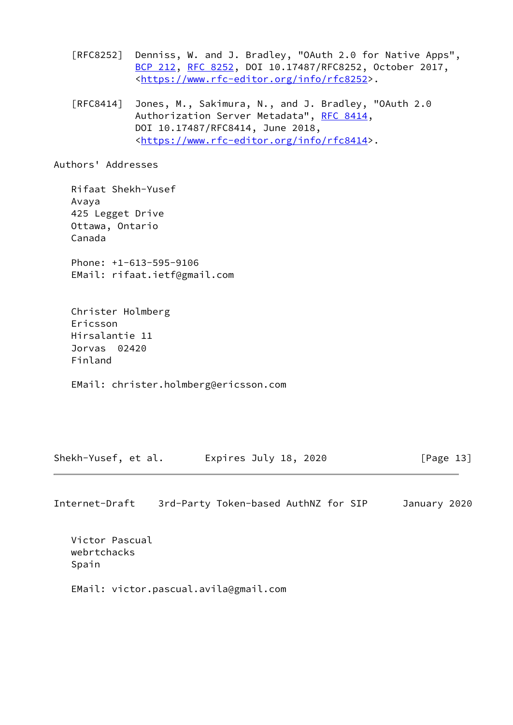[RFC8252] Denniss, W. and J. Bradley, "OAuth 2.0 for Native Apps", [BCP 212](https://datatracker.ietf.org/doc/pdf/bcp212), [RFC 8252,](https://datatracker.ietf.org/doc/pdf/rfc8252) DOI 10.17487/RFC8252, October 2017, <[https://www.rfc-editor.org/info/rfc8252>](https://www.rfc-editor.org/info/rfc8252).

 [RFC8414] Jones, M., Sakimura, N., and J. Bradley, "OAuth 2.0 Authorization Server Metadata", [RFC 8414,](https://datatracker.ietf.org/doc/pdf/rfc8414) DOI 10.17487/RFC8414, June 2018, <[https://www.rfc-editor.org/info/rfc8414>](https://www.rfc-editor.org/info/rfc8414).

Authors' Addresses

 Rifaat Shekh-Yusef Avaya 425 Legget Drive Ottawa, Ontario Canada Phone: +1-613-595-9106 EMail: rifaat.ietf@gmail.com

 Christer Holmberg Ericsson Hirsalantie 11 Jorvas 02420 Finland

EMail: christer.holmberg@ericsson.com

Shekh-Yusef, et al. Expires July 18, 2020 [Page 13]

Internet-Draft 3rd-Party Token-based AuthNZ for SIP January 2020

 Victor Pascual webrtchacks Spain

EMail: victor.pascual.avila@gmail.com